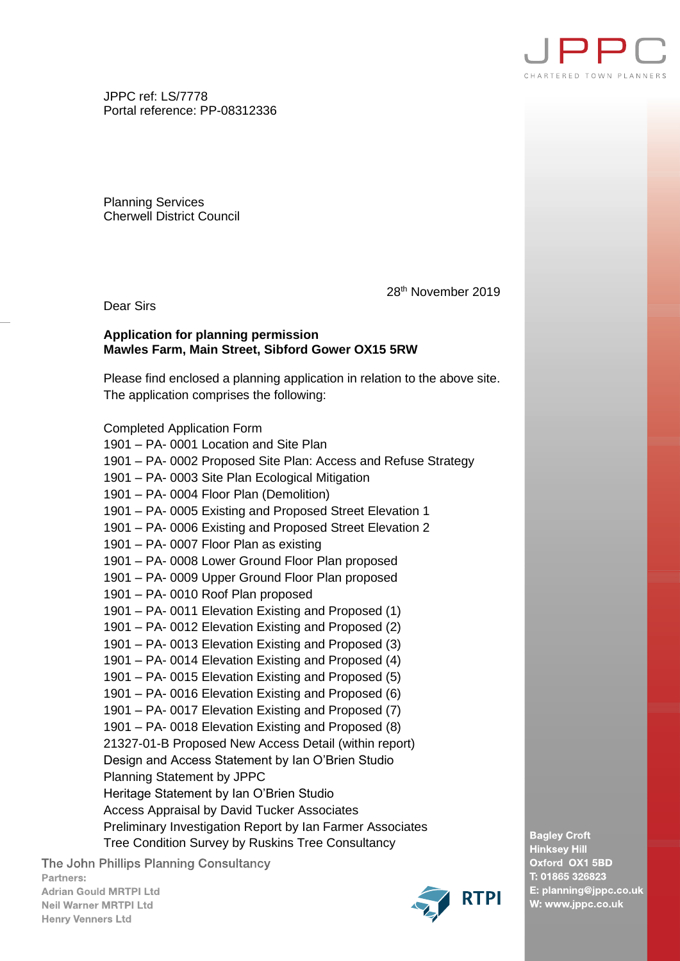

JPPC ref: LS/7778 Portal reference: PP-08312336

Planning Services Cherwell District Council

28th November 2019

Dear Sirs

## **Application for planning permission Mawles Farm, Main Street, Sibford Gower OX15 5RW**

Please find enclosed a planning application in relation to the above site. The application comprises the following:

Completed Application Form

1901 – PA- 0001 Location and Site Plan 1901 – PA- 0002 Proposed Site Plan: Access and Refuse Strategy 1901 – PA- 0003 Site Plan Ecological Mitigation 1901 – PA- 0004 Floor Plan (Demolition) 1901 – PA- 0005 Existing and Proposed Street Elevation 1 1901 – PA- 0006 Existing and Proposed Street Elevation 2 1901 – PA- 0007 Floor Plan as existing 1901 – PA- 0008 Lower Ground Floor Plan proposed 1901 – PA- 0009 Upper Ground Floor Plan proposed 1901 – PA- 0010 Roof Plan proposed 1901 – PA- 0011 Elevation Existing and Proposed (1) 1901 – PA- 0012 Elevation Existing and Proposed (2) 1901 – PA- 0013 Elevation Existing and Proposed (3) 1901 – PA- 0014 Elevation Existing and Proposed (4) 1901 – PA- 0015 Elevation Existing and Proposed (5) 1901 – PA- 0016 Elevation Existing and Proposed (6) 1901 – PA- 0017 Elevation Existing and Proposed (7) 1901 – PA- 0018 Elevation Existing and Proposed (8) 21327-01-B Proposed New Access Detail (within report) Design and Access Statement by Ian O'Brien Studio Planning Statement by JPPC Heritage Statement by Ian O'Brien Studio Access Appraisal by David Tucker Associates Preliminary Investigation Report by Ian Farmer Associates Tree Condition Survey by Ruskins Tree Consultancy

The John Phillips Planning Consultancy Partners: **Adrian Gould MRTPI Ltd Neil Warner MRTPI Ltd Henry Venners Ltd** 



**Bagley Croft Hinksey Hill** Oxford OX1 5BD T: 01865 326823 E: planning@jppc.co.uk W: www.jppc.co.uk